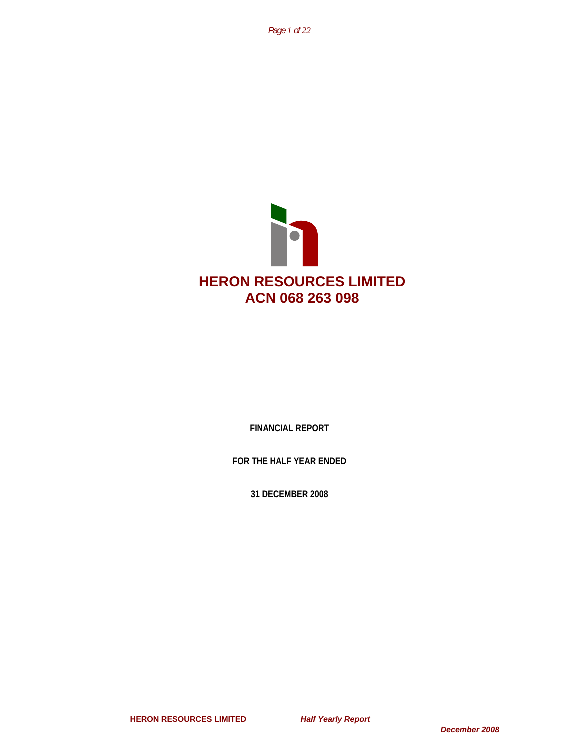*Page 1 of 22*



**FINANCIAL REPORT** 

**FOR THE HALF YEAR ENDED** 

**31 DECEMBER 2008**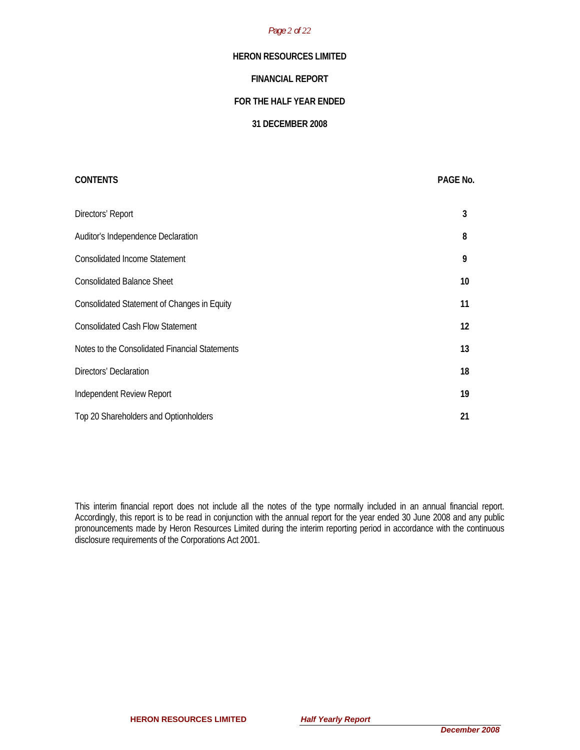#### *Page 2 of 22*

## **HERON RESOURCES LIMITED**

## **FINANCIAL REPORT**

## **FOR THE HALF YEAR ENDED**

## **31 DECEMBER 2008**

| <b>CONTENTS</b>                                    | PAGE No. |
|----------------------------------------------------|----------|
| Directors' Report                                  | 3        |
| Auditor's Independence Declaration                 | 8        |
| <b>Consolidated Income Statement</b>               | 9        |
| <b>Consolidated Balance Sheet</b>                  | 10       |
| <b>Consolidated Statement of Changes in Equity</b> | 11       |
| <b>Consolidated Cash Flow Statement</b>            | 12       |
| Notes to the Consolidated Financial Statements     | 13       |
| Directors' Declaration                             | 18       |
| Independent Review Report                          | 19       |
| Top 20 Shareholders and Optionholders              | 21       |

This interim financial report does not include all the notes of the type normally included in an annual financial report. Accordingly, this report is to be read in conjunction with the annual report for the year ended 30 June 2008 and any public pronouncements made by Heron Resources Limited during the interim reporting period in accordance with the continuous disclosure requirements of the Corporations Act 2001.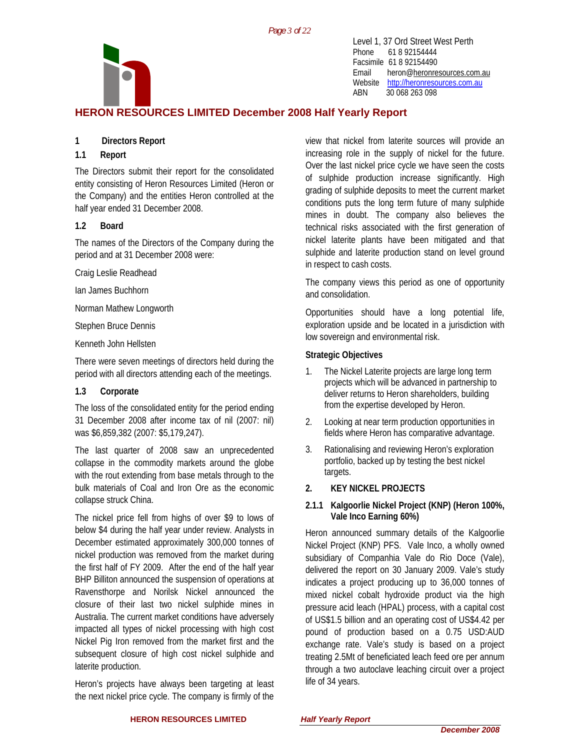*Page 3 of 22*



Level 1, 37 Ord Street West Perth Phone 61 8 92154444 Facsimile 61 8 92154490 Email heron@heronresources.com.au Website http://heronresources.com.au ABN 30 068 263 098

# **HERON RESOURCES LIMITED December 2008 Half Yearly Report**

# **1 Directors Report**

## **1.1 Report**

The Directors submit their report for the consolidated entity consisting of Heron Resources Limited (Heron or the Company) and the entities Heron controlled at the half year ended 31 December 2008.

## **1.2 Board**

The names of the Directors of the Company during the period and at 31 December 2008 were:

Craig Leslie Readhead

Ian James Buchhorn

Norman Mathew Longworth

Stephen Bruce Dennis

Kenneth John Hellsten

There were seven meetings of directors held during the period with all directors attending each of the meetings.

# **1.3 Corporate**

The loss of the consolidated entity for the period ending 31 December 2008 after income tax of nil (2007: nil) was \$6,859,382 (2007: \$5,179,247).

The last quarter of 2008 saw an unprecedented collapse in the commodity markets around the globe with the rout extending from base metals through to the bulk materials of Coal and Iron Ore as the economic collapse struck China.

The nickel price fell from highs of over \$9 to lows of below \$4 during the half year under review. Analysts in December estimated approximately 300,000 tonnes of nickel production was removed from the market during the first half of FY 2009. After the end of the half year BHP Billiton announced the suspension of operations at Ravensthorpe and Norilsk Nickel announced the closure of their last two nickel sulphide mines in Australia. The current market conditions have adversely impacted all types of nickel processing with high cost Nickel Pig Iron removed from the market first and the subsequent closure of high cost nickel sulphide and laterite production.

Heron's projects have always been targeting at least the next nickel price cycle. The company is firmly of the

view that nickel from laterite sources will provide an increasing role in the supply of nickel for the future. Over the last nickel price cycle we have seen the costs of sulphide production increase significantly. High grading of sulphide deposits to meet the current market conditions puts the long term future of many sulphide mines in doubt. The company also believes the technical risks associated with the first generation of nickel laterite plants have been mitigated and that sulphide and laterite production stand on level ground in respect to cash costs.

The company views this period as one of opportunity and consolidation.

Opportunities should have a long potential life, exploration upside and be located in a jurisdiction with low sovereign and environmental risk.

## **Strategic Objectives**

- 1. The Nickel Laterite projects are large long term projects which will be advanced in partnership to deliver returns to Heron shareholders, building from the expertise developed by Heron.
- 2. Looking at near term production opportunities in fields where Heron has comparative advantage.
- 3. Rationalising and reviewing Heron's exploration portfolio, backed up by testing the best nickel targets.

## **2. KEY NICKEL PROJECTS**

## **2.1.1 Kalgoorlie Nickel Project (KNP) (Heron 100%, Vale Inco Earning 60%)**

Heron announced summary details of the Kalgoorlie Nickel Project (KNP) PFS. Vale Inco, a wholly owned subsidiary of Companhia Vale do Rio Doce (Vale), delivered the report on 30 January 2009. Vale's study indicates a project producing up to 36,000 tonnes of mixed nickel cobalt hydroxide product via the high pressure acid leach (HPAL) process, with a capital cost of US\$1.5 billion and an operating cost of US\$4.42 per pound of production based on a 0.75 USD:AUD exchange rate. Vale's study is based on a project treating 2.5Mt of beneficiated leach feed ore per annum through a two autoclave leaching circuit over a project life of 34 years.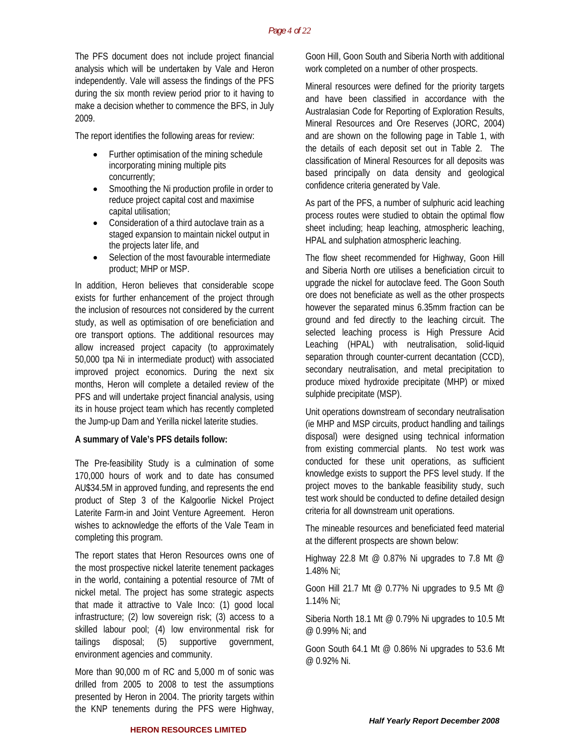The PFS document does not include project financial analysis which will be undertaken by Vale and Heron independently. Vale will assess the findings of the PFS during the six month review period prior to it having to make a decision whether to commence the BFS, in July 2009.

The report identifies the following areas for review:

- Further optimisation of the mining schedule incorporating mining multiple pits concurrently;
- Smoothing the Ni production profile in order to reduce project capital cost and maximise capital utilisation;
- Consideration of a third autoclave train as a staged expansion to maintain nickel output in the projects later life, and
- Selection of the most favourable intermediate product; MHP or MSP.

In addition, Heron believes that considerable scope exists for further enhancement of the project through the inclusion of resources not considered by the current study, as well as optimisation of ore beneficiation and ore transport options. The additional resources may allow increased project capacity (to approximately 50,000 tpa Ni in intermediate product) with associated improved project economics. During the next six months, Heron will complete a detailed review of the PFS and will undertake project financial analysis, using its in house project team which has recently completed the Jump-up Dam and Yerilla nickel laterite studies.

#### **A summary of Vale's PFS details follow:**

The Pre-feasibility Study is a culmination of some 170,000 hours of work and to date has consumed AU\$34.5M in approved funding, and represents the end product of Step 3 of the Kalgoorlie Nickel Project Laterite Farm-in and Joint Venture Agreement. Heron wishes to acknowledge the efforts of the Vale Team in completing this program.

The report states that Heron Resources owns one of the most prospective nickel laterite tenement packages in the world, containing a potential resource of 7Mt of nickel metal. The project has some strategic aspects that made it attractive to Vale Inco: (1) good local infrastructure; (2) low sovereign risk; (3) access to a skilled labour pool; (4) low environmental risk for tailings disposal; (5) supportive government, environment agencies and community.

More than 90,000 m of RC and 5,000 m of sonic was drilled from 2005 to 2008 to test the assumptions presented by Heron in 2004. The priority targets within the KNP tenements during the PFS were Highway,

Goon Hill, Goon South and Siberia North with additional work completed on a number of other prospects.

Mineral resources were defined for the priority targets and have been classified in accordance with the Australasian Code for Reporting of Exploration Results, Mineral Resources and Ore Reserves (JORC, 2004) and are shown on the following page in Table 1, with the details of each deposit set out in Table 2. The classification of Mineral Resources for all deposits was based principally on data density and geological confidence criteria generated by Vale.

As part of the PFS, a number of sulphuric acid leaching process routes were studied to obtain the optimal flow sheet including; heap leaching, atmospheric leaching, HPAL and sulphation atmospheric leaching.

The flow sheet recommended for Highway, Goon Hill and Siberia North ore utilises a beneficiation circuit to upgrade the nickel for autoclave feed. The Goon South ore does not beneficiate as well as the other prospects however the separated minus 6.35mm fraction can be ground and fed directly to the leaching circuit. The selected leaching process is High Pressure Acid Leaching (HPAL) with neutralisation, solid-liquid separation through counter-current decantation (CCD), secondary neutralisation, and metal precipitation to produce mixed hydroxide precipitate (MHP) or mixed sulphide precipitate (MSP).

Unit operations downstream of secondary neutralisation (ie MHP and MSP circuits, product handling and tailings disposal) were designed using technical information from existing commercial plants. No test work was conducted for these unit operations, as sufficient knowledge exists to support the PFS level study. If the project moves to the bankable feasibility study, such test work should be conducted to define detailed design criteria for all downstream unit operations.

The mineable resources and beneficiated feed material at the different prospects are shown below:

Highway 22.8 Mt @ 0.87% Ni upgrades to 7.8 Mt @ 1.48% Ni;

Goon Hill 21.7 Mt @ 0.77% Ni upgrades to 9.5 Mt @ 1.14% Ni;

Siberia North 18.1 Mt @ 0.79% Ni upgrades to 10.5 Mt @ 0.99% Ni; and

Goon South 64.1 Mt @ 0.86% Ni upgrades to 53.6 Mt @ 0.92% Ni.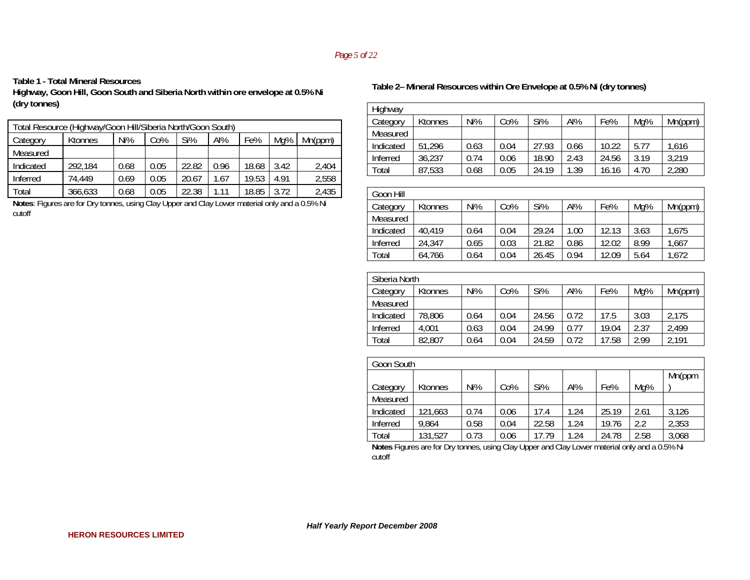**Table 1 - Total Mineral Resources** 

**Highway, Goon Hill, Goon South and Siberia North within ore envelope at 0.5% Ni (dry tonnes)** 

| Total Resource (Highway/Goon Hill/Siberia North/Goon South) |                |      |      |       |      |       |      |         |  |
|-------------------------------------------------------------|----------------|------|------|-------|------|-------|------|---------|--|
| Category                                                    | <b>Ktonnes</b> | Ni%  | Co%  | Si%   | Al%  | Fe%   | Mg%  | Mn(ppm) |  |
| Measured                                                    |                |      |      |       |      |       |      |         |  |
| Indicated                                                   | 292,184        | 0.68 | 0.05 | 22.82 | 0.96 | 18.68 | 3.42 | 2,404   |  |
| Inferred                                                    | 74.449         | 0.69 | 0.05 | 20.67 | 1.67 | 19.53 | 4.91 | 2,558   |  |
| Total                                                       | 366,633        | 0.68 | 0.05 | 22.38 | 1.11 | 18.85 | 3.72 | 2,435   |  |

**Notes**: Figures are for Dry tonnes, using Clay Upper and Clay Lower material only and a 0.5% Ni cutoff

## **Table 2– Mineral Resources within Ore Envelope at 0.5% Ni (dry tonnes)**

| Highway   |                |      |      |       |      |       |      |         |
|-----------|----------------|------|------|-------|------|-------|------|---------|
| Category  | <b>Ktonnes</b> | Ni%  | Co%  | Si%   | Al%  | Fe%   | Mg%  | Mn(ppm) |
| Measured  |                |      |      |       |      |       |      |         |
| Indicated | 51,296         | 0.63 | 0.04 | 27.93 | 0.66 | 10.22 | 5.77 | 1,616   |
| Inferred  | 36,237         | 0.74 | 0.06 | 18.90 | 2.43 | 24.56 | 3.19 | 3,219   |
| Total     | 87,533         | 0.68 | 0.05 | 24.19 | 1.39 | 16.16 | 4.70 | 2,280   |

| Goon Hill |         |      |      |       |      |       |      |         |
|-----------|---------|------|------|-------|------|-------|------|---------|
| Category  | Ktonnes | Ni%  | Co%  | Si%   | Al%  | Fe%   | Mg%  | Mn(ppm) |
| Measured  |         |      |      |       |      |       |      |         |
| Indicated | 40,419  | 0.64 | 0.04 | 29.24 | 1.00 | 12.13 | 3.63 | 1,675   |
| Inferred  | 24,347  | 0.65 | 0.03 | 21.82 | 0.86 | 12.02 | 8.99 | 1,667   |
| Total     | 64,766  | 0.64 | 0.04 | 26.45 | 0.94 | 12.09 | 5.64 | 1,672   |

| Siberia North |                |      |      |       |      |       |      |         |
|---------------|----------------|------|------|-------|------|-------|------|---------|
| Category      | <b>Ktonnes</b> | Ni%  | Co%  | Si%   | Al%  | Fe%   | Mg%  | Mn(ppm) |
| Measured      |                |      |      |       |      |       |      |         |
| Indicated     | 78,806         | 0.64 | 0.04 | 24.56 | 0.72 | 17.5  | 3.03 | 2,175   |
| Inferred      | 4,001          | 0.63 | 0.04 | 24.99 | 0.77 | 19.04 | 2.37 | 2,499   |
| Total         | 82,807         | 0.64 | 0.04 | 24.59 | 0.72 | 17.58 | 2.99 | 2,191   |

| Goon South |         |      |      |       |      |       |      |        |  |
|------------|---------|------|------|-------|------|-------|------|--------|--|
| Category   | Ktonnes | Ni%  | Co%  | Si%   | Al%  | Fe%   | Mg%  | Mn(ppm |  |
| Measured   |         |      |      |       |      |       |      |        |  |
| Indicated  | 121,663 | 0.74 | 0.06 | 17.4  | 1.24 | 25.19 | 2.61 | 3,126  |  |
| Inferred   | 9,864   | 0.58 | 0.04 | 22.58 | 1.24 | 19.76 | 2.2  | 2,353  |  |
| Total      | 131,527 | 0.73 | 0.06 | 17.79 | 1.24 | 24.78 | 2.58 | 3,068  |  |

**Notes** Figures are for Dry tonnes, using Clay Upper and Clay Lower material only and a 0.5% Ni cutoff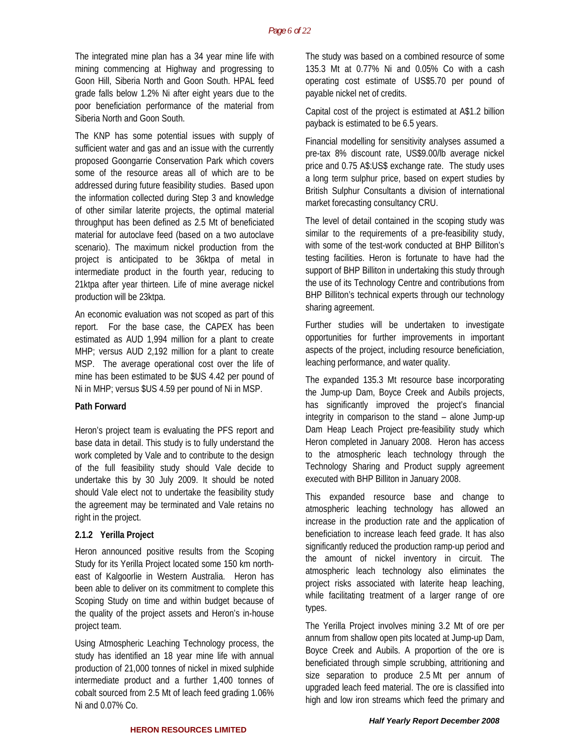#### *Page 6 of 22*

The integrated mine plan has a 34 year mine life with mining commencing at Highway and progressing to Goon Hill, Siberia North and Goon South. HPAL feed grade falls below 1.2% Ni after eight years due to the poor beneficiation performance of the material from Siberia North and Goon South.

The KNP has some potential issues with supply of sufficient water and gas and an issue with the currently proposed Goongarrie Conservation Park which covers some of the resource areas all of which are to be addressed during future feasibility studies. Based upon the information collected during Step 3 and knowledge of other similar laterite projects, the optimal material throughput has been defined as 2.5 Mt of beneficiated material for autoclave feed (based on a two autoclave scenario). The maximum nickel production from the project is anticipated to be 36ktpa of metal in intermediate product in the fourth year, reducing to 21ktpa after year thirteen. Life of mine average nickel production will be 23ktpa.

An economic evaluation was not scoped as part of this report. For the base case, the CAPEX has been estimated as AUD 1,994 million for a plant to create MHP; versus AUD 2,192 million for a plant to create MSP. The average operational cost over the life of mine has been estimated to be \$US 4.42 per pound of Ni in MHP; versus \$US 4.59 per pound of Ni in MSP.

#### **Path Forward**

Heron's project team is evaluating the PFS report and base data in detail. This study is to fully understand the work completed by Vale and to contribute to the design of the full feasibility study should Vale decide to undertake this by 30 July 2009. It should be noted should Vale elect not to undertake the feasibility study the agreement may be terminated and Vale retains no right in the project.

#### **2.1.2 Yerilla Project**

Heron announced positive results from the Scoping Study for its Yerilla Project located some 150 km northeast of Kalgoorlie in Western Australia. Heron has been able to deliver on its commitment to complete this Scoping Study on time and within budget because of the quality of the project assets and Heron's in-house project team.

Using Atmospheric Leaching Technology process, the study has identified an 18 year mine life with annual production of 21,000 tonnes of nickel in mixed sulphide intermediate product and a further 1,400 tonnes of cobalt sourced from 2.5 Mt of leach feed grading 1.06% Ni and 0.07% Co.

The study was based on a combined resource of some 135.3 Mt at 0.77% Ni and 0.05% Co with a cash operating cost estimate of US\$5.70 per pound of payable nickel net of credits.

Capital cost of the project is estimated at A\$1.2 billion payback is estimated to be 6.5 years.

Financial modelling for sensitivity analyses assumed a pre-tax 8% discount rate, US\$9.00/lb average nickel price and 0.75 A\$:US\$ exchange rate. The study uses a long term sulphur price, based on expert studies by British Sulphur Consultants a division of international market forecasting consultancy CRU.

The level of detail contained in the scoping study was similar to the requirements of a pre-feasibility study, with some of the test-work conducted at BHP Billiton's testing facilities. Heron is fortunate to have had the support of BHP Billiton in undertaking this study through the use of its Technology Centre and contributions from BHP Billiton's technical experts through our technology sharing agreement.

Further studies will be undertaken to investigate opportunities for further improvements in important aspects of the project, including resource beneficiation, leaching performance, and water quality.

The expanded 135.3 Mt resource base incorporating the Jump-up Dam, Boyce Creek and Aubils projects, has significantly improved the project's financial integrity in comparison to the stand – alone Jump-up Dam Heap Leach Project pre-feasibility study which Heron completed in January 2008. Heron has access to the atmospheric leach technology through the Technology Sharing and Product supply agreement executed with BHP Billiton in January 2008.

This expanded resource base and change to atmospheric leaching technology has allowed an increase in the production rate and the application of beneficiation to increase leach feed grade. It has also significantly reduced the production ramp-up period and the amount of nickel inventory in circuit. The atmospheric leach technology also eliminates the project risks associated with laterite heap leaching, while facilitating treatment of a larger range of ore types.

The Yerilla Project involves mining 3.2 Mt of ore per annum from shallow open pits located at Jump-up Dam, Boyce Creek and Aubils. A proportion of the ore is beneficiated through simple scrubbing, attritioning and size separation to produce 2.5 Mt per annum of upgraded leach feed material. The ore is classified into high and low iron streams which feed the primary and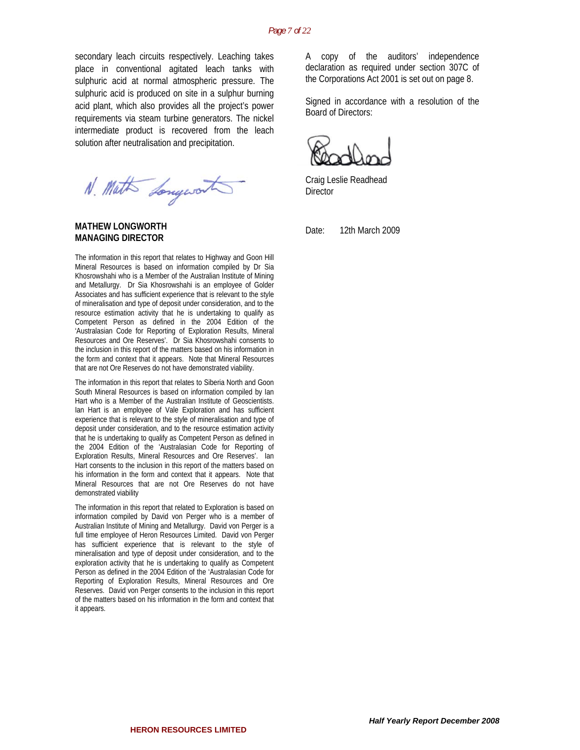secondary leach circuits respectively. Leaching takes place in conventional agitated leach tanks with sulphuric acid at normal atmospheric pressure. The sulphuric acid is produced on site in a sulphur burning acid plant, which also provides all the project's power requirements via steam turbine generators. The nickel intermediate product is recovered from the leach solution after neutralisation and precipitation.

N. Math Longwort

**MATHEW LONGWORTH MANAGING DIRECTOR** 

The information in this report that relates to Highway and Goon Hill Mineral Resources is based on information compiled by Dr Sia Khosrowshahi who is a Member of the Australian Institute of Mining and Metallurgy. Dr Sia Khosrowshahi is an employee of Golder Associates and has sufficient experience that is relevant to the style of mineralisation and type of deposit under consideration, and to the resource estimation activity that he is undertaking to qualify as Competent Person as defined in the 2004 Edition of the 'Australasian Code for Reporting of Exploration Results, Mineral Resources and Ore Reserves'. Dr Sia Khosrowshahi consents to the inclusion in this report of the matters based on his information in the form and context that it appears. Note that Mineral Resources that are not Ore Reserves do not have demonstrated viability.

The information in this report that relates to Siberia North and Goon South Mineral Resources is based on information compiled by Ian Hart who is a Member of the Australian Institute of Geoscientists. Ian Hart is an employee of Vale Exploration and has sufficient experience that is relevant to the style of mineralisation and type of deposit under consideration, and to the resource estimation activity that he is undertaking to qualify as Competent Person as defined in the 2004 Edition of the 'Australasian Code for Reporting of Exploration Results, Mineral Resources and Ore Reserves'. Ian Hart consents to the inclusion in this report of the matters based on his information in the form and context that it appears. Note that Mineral Resources that are not Ore Reserves do not have demonstrated viability

The information in this report that related to Exploration is based on information compiled by David von Perger who is a member of Australian Institute of Mining and Metallurgy. David von Perger is a full time employee of Heron Resources Limited. David von Perger has sufficient experience that is relevant to the style of mineralisation and type of deposit under consideration, and to the exploration activity that he is undertaking to qualify as Competent Person as defined in the 2004 Edition of the 'Australasian Code for Reporting of Exploration Results, Mineral Resources and Ore Reserves. David von Perger consents to the inclusion in this report of the matters based on his information in the form and context that it appears.

A copy of the auditors' independence declaration as required under section 307C of the Corporations Act 2001 is set out on page 8.

Signed in accordance with a resolution of the Board of Directors:

Craig Leslie Readhead **Director** 

Date: 12th March 2009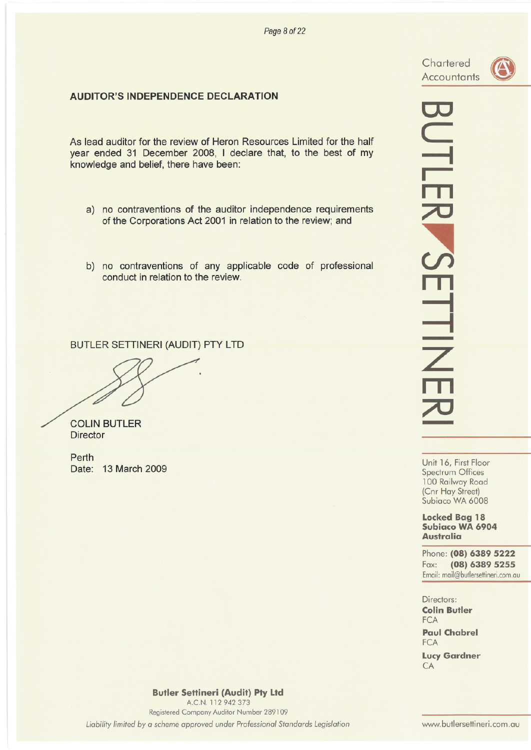Chartered **Accountants** 



# **AUDITOR'S INDEPENDENCE DECLARATION**

As lead auditor for the review of Heron Resources Limited for the half year ended 31 December 2008, I declare that, to the best of my knowledge and belief, there have been:

- a) no contraventions of the auditor independence requirements of the Corporations Act 2001 in relation to the review; and
- b) no contraventions of any applicable code of professional conduct in relation to the review.

BUTLER SETTINERI (AUDIT) PTY LTD

**COLIN BUTLER Director** 

Perth Date: 13 March 2009

# **BUTLER SETTINE**

Unit 16, First Floor Spectrum Offices 100 Railway Road (Cnr Hay Street) Subiaco WA 6008

**Locked Bag 18 Subiaco WA 6904 Australia** 

Phone: (08) 6389 5222 Fax:  $(08)$  6389 5255 Email: mail@butlersettineri.com.au

Directors: **Colin Butler FCA Paul Chabrel** 

**FCA** 

**Lucy Gardner** CA

**Butler Settineri (Audit) Pty Ltd** 

A.C.N. 112 942 373 Registered Company Auditor Number 289109 Liability limited by a scheme approved under Professional Standards Legislation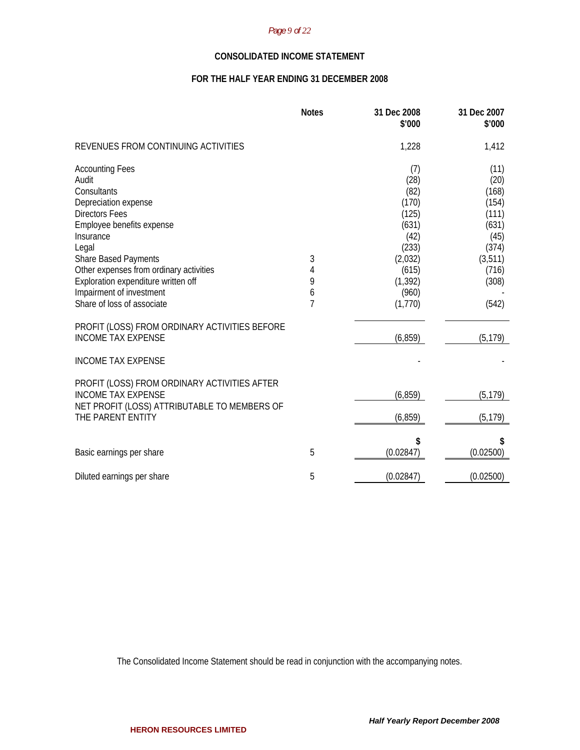#### *Page 9 of 22*

## **CONSOLIDATED INCOME STATEMENT**

# **FOR THE HALF YEAR ENDING 31 DECEMBER 2008**

|                                                                                                                                                                                                                                                                                                                        | <b>Notes</b>          | 31 Dec 2008<br>\$'000                                                                                               | 31 Dec 2007<br>\$'000                                                                                    |
|------------------------------------------------------------------------------------------------------------------------------------------------------------------------------------------------------------------------------------------------------------------------------------------------------------------------|-----------------------|---------------------------------------------------------------------------------------------------------------------|----------------------------------------------------------------------------------------------------------|
| REVENUES FROM CONTINUING ACTIVITIES                                                                                                                                                                                                                                                                                    |                       | 1,228                                                                                                               | 1,412                                                                                                    |
| <b>Accounting Fees</b><br>Audit<br>Consultants<br>Depreciation expense<br><b>Directors Fees</b><br>Employee benefits expense<br>Insurance<br>Legal<br>Share Based Payments<br>Other expenses from ordinary activities<br>Exploration expenditure written off<br>Impairment of investment<br>Share of loss of associate | 3<br>4<br>9<br>6<br>7 | (7)<br>(28)<br>(82)<br>(170)<br>(125)<br>(631)<br>(42)<br>(233)<br>(2,032)<br>(615)<br>(1, 392)<br>(960)<br>(1,770) | (11)<br>(20)<br>(168)<br>(154)<br>(111)<br>(631)<br>(45)<br>(374)<br>(3, 511)<br>(716)<br>(308)<br>(542) |
| PROFIT (LOSS) FROM ORDINARY ACTIVITIES BEFORE<br><b>INCOME TAX EXPENSE</b><br><b>INCOME TAX EXPENSE</b>                                                                                                                                                                                                                |                       | (6, 859)                                                                                                            | (5, 179)                                                                                                 |
| PROFIT (LOSS) FROM ORDINARY ACTIVITIES AFTER<br><b>INCOME TAX EXPENSE</b><br>NET PROFIT (LOSS) ATTRIBUTABLE TO MEMBERS OF<br>THE PARENT ENTITY                                                                                                                                                                         |                       | (6, 859)<br>(6, 859)                                                                                                | (5, 179)<br>(5, 179)                                                                                     |
| Basic earnings per share                                                                                                                                                                                                                                                                                               | 5                     | \$<br>(0.02847)                                                                                                     | (0.02500)                                                                                                |
| Diluted earnings per share                                                                                                                                                                                                                                                                                             | 5                     | (0.02847)                                                                                                           | (0.02500)                                                                                                |

The Consolidated Income Statement should be read in conjunction with the accompanying notes.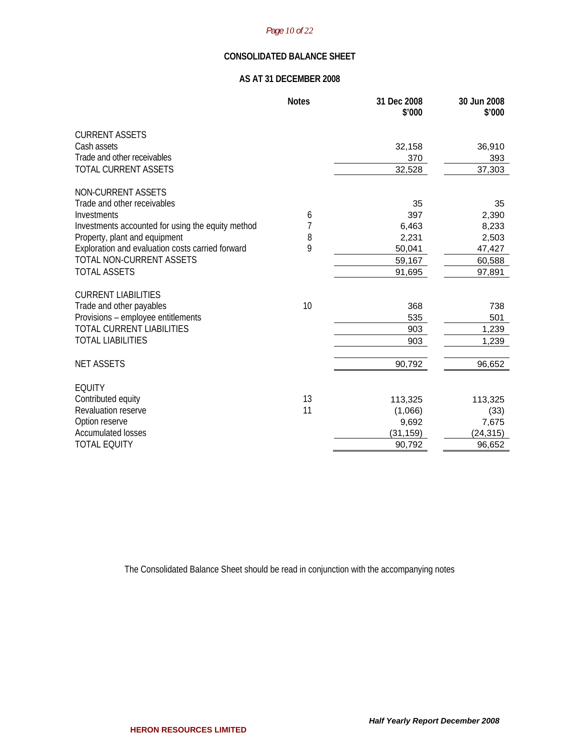## *Page 10 of 22*

## **CONSOLIDATED BALANCE SHEET**

# **AS AT 31 DECEMBER 2008**

|                                                   | <b>Notes</b> | 31 Dec 2008<br>\$'000 | 30 Jun 2008<br>\$'000 |
|---------------------------------------------------|--------------|-----------------------|-----------------------|
| <b>CURRENT ASSETS</b>                             |              |                       |                       |
| Cash assets                                       |              | 32,158                | 36,910                |
| Trade and other receivables                       |              | 370                   | 393                   |
| TOTAL CURRENT ASSETS                              |              | 32,528                | 37,303                |
| NON-CURRENT ASSETS                                |              |                       |                       |
| Trade and other receivables                       |              | 35                    | 35                    |
| Investments                                       | 6            | 397                   | 2,390                 |
| Investments accounted for using the equity method | 7            | 6,463                 | 8,233                 |
| Property, plant and equipment                     | 8            | 2,231                 | 2,503                 |
| Exploration and evaluation costs carried forward  | 9            | 50,041                | 47,427                |
| <b>TOTAL NON-CURRENT ASSETS</b>                   |              | 59,167                | 60,588                |
| <b>TOTAL ASSETS</b>                               |              | 91,695                | 97,891                |
| <b>CURRENT LIABILITIES</b>                        |              |                       |                       |
| Trade and other payables                          | 10           | 368                   | 738                   |
| Provisions - employee entitlements                |              | 535                   | 501                   |
| <b>TOTAL CURRENT LIABILITIES</b>                  |              | 903                   | 1,239                 |
| <b>TOTAL LIABILITIES</b>                          |              | 903                   | 1,239                 |
| <b>NET ASSETS</b>                                 |              | 90,792                | 96,652                |
|                                                   |              |                       |                       |
| <b>EQUITY</b>                                     |              |                       |                       |
| Contributed equity                                | 13           | 113,325               | 113,325               |
| Revaluation reserve                               | 11           | (1,066)               | (33)                  |
| Option reserve                                    |              | 9,692                 | 7,675                 |
| <b>Accumulated losses</b>                         |              | (31, 159)             | (24, 315)             |
| <b>TOTAL EQUITY</b>                               |              | 90,792                | 96,652                |

The Consolidated Balance Sheet should be read in conjunction with the accompanying notes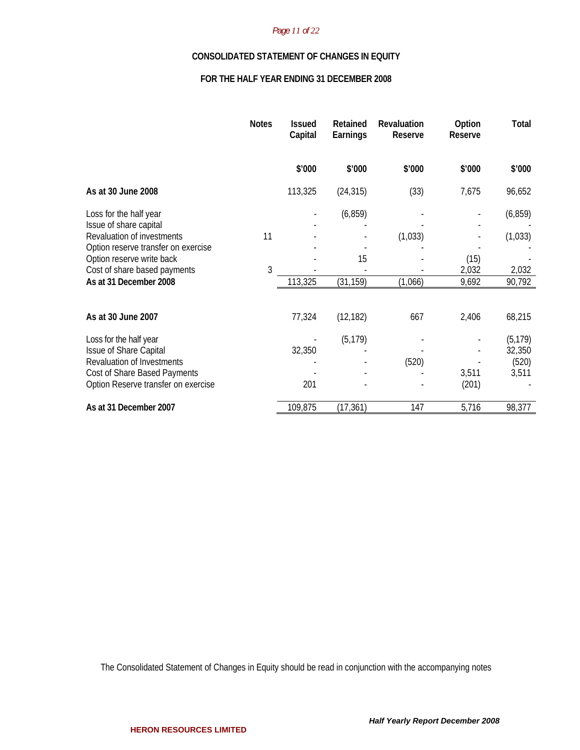#### *Page 11 of 22*

#### **CONSOLIDATED STATEMENT OF CHANGES IN EQUITY**

## **FOR THE HALF YEAR ENDING 31 DECEMBER 2008**

|                                                                                                   | <b>Notes</b> | <b>Issued</b><br>Capital | Retained<br>Earnings | Revaluation<br>Reserve | Option<br>Reserve | Total              |
|---------------------------------------------------------------------------------------------------|--------------|--------------------------|----------------------|------------------------|-------------------|--------------------|
|                                                                                                   |              | \$'000                   | \$'000               | \$'000                 | \$'000            | \$'000             |
| As at 30 June 2008                                                                                |              | 113,325                  | (24, 315)            | (33)                   | 7,675             | 96,652             |
| Loss for the half year                                                                            |              |                          | (6, 859)             |                        |                   | (6, 859)           |
| Issue of share capital<br>Revaluation of investments                                              | 11           |                          |                      | (1,033)                |                   | (1,033)            |
| Option reserve transfer on exercise<br>Option reserve write back<br>Cost of share based payments  | 3            |                          | 15                   |                        | (15)<br>2,032     | 2,032              |
| As at 31 December 2008                                                                            |              | 113,325                  | (31, 159)            | (1,066)                | 9,692             | 90,792             |
| As at 30 June 2007                                                                                |              | 77,324                   | (12, 182)            | 667                    | 2,406             | 68,215             |
| Loss for the half year<br>Issue of Share Capital                                                  |              | 32,350                   | (5, 179)             |                        |                   | (5, 179)<br>32,350 |
| Revaluation of Investments<br>Cost of Share Based Payments<br>Option Reserve transfer on exercise |              | 201                      |                      | (520)                  | 3,511<br>(201)    | (520)<br>3,511     |
| As at 31 December 2007                                                                            |              | 109,875                  | (17, 361)            | 147                    | 5,716             | 98,377             |

The Consolidated Statement of Changes in Equity should be read in conjunction with the accompanying notes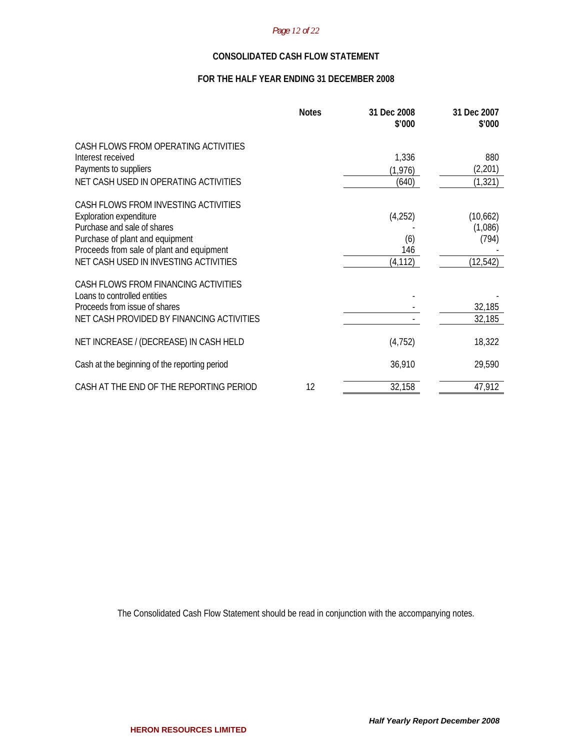#### *Page 12 of 22*

## **CONSOLIDATED CASH FLOW STATEMENT**

## **FOR THE HALF YEAR ENDING 31 DECEMBER 2008**

|                                                                                                                                                                                                                                | <b>Notes</b> | 31 Dec 2008<br>\$'000             | 31 Dec 2007<br>\$'000                     |
|--------------------------------------------------------------------------------------------------------------------------------------------------------------------------------------------------------------------------------|--------------|-----------------------------------|-------------------------------------------|
| CASH FLOWS FROM OPERATING ACTIVITIES<br>Interest received<br>Payments to suppliers<br>NET CASH USED IN OPERATING ACTIVITIES                                                                                                    |              | 1,336<br>(1, 976)<br>(640)        | 880<br>(2,201)<br>(1, 321)                |
| CASH FLOWS FROM INVESTING ACTIVITIES<br><b>Exploration expenditure</b><br>Purchase and sale of shares<br>Purchase of plant and equipment<br>Proceeds from sale of plant and equipment<br>NET CASH USED IN INVESTING ACTIVITIES |              | (4,252)<br>(6)<br>146<br>(4, 112) | (10,662)<br>(1,086)<br>(794)<br>(12, 542) |
| CASH FLOWS FROM FINANCING ACTIVITIES<br>Loans to controlled entities<br>Proceeds from issue of shares<br>NET CASH PROVIDED BY FINANCING ACTIVITIES                                                                             |              |                                   | 32,185<br>32,185                          |
| NET INCREASE / (DECREASE) IN CASH HELD                                                                                                                                                                                         |              | (4, 752)                          | 18,322                                    |
| Cash at the beginning of the reporting period                                                                                                                                                                                  |              | 36,910                            | 29,590                                    |
| CASH AT THE END OF THE REPORTING PERIOD                                                                                                                                                                                        | 12           | 32,158                            | 47,912                                    |

The Consolidated Cash Flow Statement should be read in conjunction with the accompanying notes.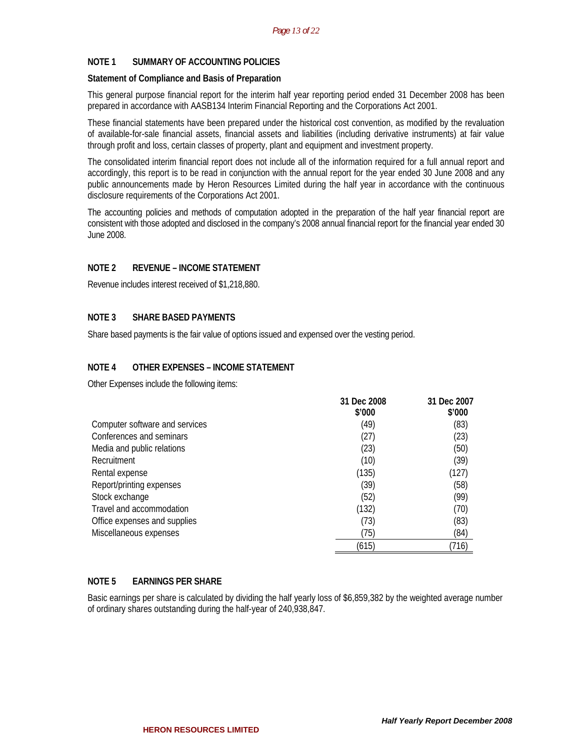## **NOTE 1 SUMMARY OF ACCOUNTING POLICIES**

#### **Statement of Compliance and Basis of Preparation**

This general purpose financial report for the interim half year reporting period ended 31 December 2008 has been prepared in accordance with AASB134 Interim Financial Reporting and the Corporations Act 2001.

These financial statements have been prepared under the historical cost convention, as modified by the revaluation of available-for-sale financial assets, financial assets and liabilities (including derivative instruments) at fair value through profit and loss, certain classes of property, plant and equipment and investment property.

The consolidated interim financial report does not include all of the information required for a full annual report and accordingly, this report is to be read in conjunction with the annual report for the year ended 30 June 2008 and any public announcements made by Heron Resources Limited during the half year in accordance with the continuous disclosure requirements of the Corporations Act 2001.

The accounting policies and methods of computation adopted in the preparation of the half year financial report are consistent with those adopted and disclosed in the company's 2008 annual financial report for the financial year ended 30 June 2008.

## **NOTE 2 REVENUE – INCOME STATEMENT**

Revenue includes interest received of \$1,218,880.

## **NOTE 3 SHARE BASED PAYMENTS**

Share based payments is the fair value of options issued and expensed over the vesting period.

## **NOTE 4 OTHER EXPENSES – INCOME STATEMENT**

Other Expenses include the following items:

|                                | 31 Dec 2008 | 31 Dec 2007 |
|--------------------------------|-------------|-------------|
|                                | \$'000      | \$'000      |
| Computer software and services | (49)        | (83)        |
| Conferences and seminars       | (27)        | (23)        |
| Media and public relations     | (23)        | (50)        |
| Recruitment                    | (10)        | (39)        |
| Rental expense                 | (135)       | (127)       |
| Report/printing expenses       | (39)        | (58)        |
| Stock exchange                 | (52)        | (99)        |
| Travel and accommodation       | (132)       | (70)        |
| Office expenses and supplies   | (73)        | (83)        |
| Miscellaneous expenses         | (75)        | (84)        |
|                                | (615)       | (716)       |

#### **NOTE 5 EARNINGS PER SHARE**

Basic earnings per share is calculated by dividing the half yearly loss of \$6,859,382 by the weighted average number of ordinary shares outstanding during the half-year of 240,938,847.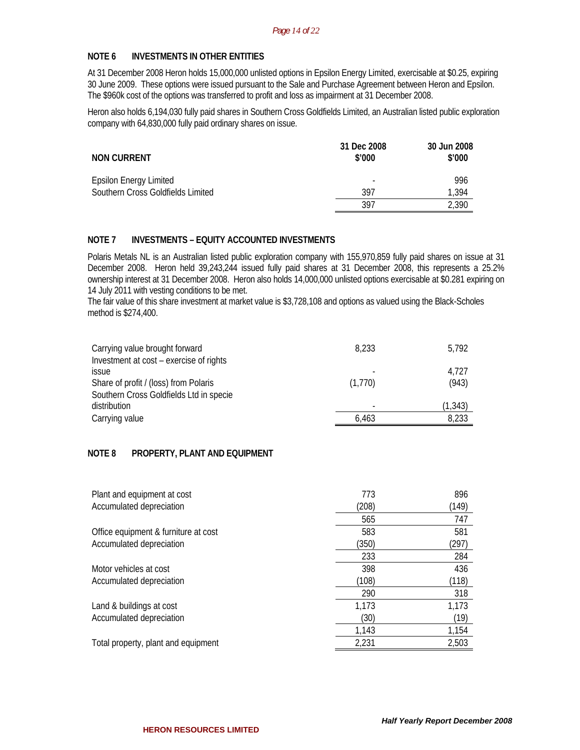## **NOTE 6 INVESTMENTS IN OTHER ENTITIES**

At 31 December 2008 Heron holds 15,000,000 unlisted options in Epsilon Energy Limited, exercisable at \$0.25, expiring 30 June 2009. These options were issued pursuant to the Sale and Purchase Agreement between Heron and Epsilon. The \$960k cost of the options was transferred to profit and loss as impairment at 31 December 2008.

Heron also holds 6,194,030 fully paid shares in Southern Cross Goldfields Limited, an Australian listed public exploration company with 64,830,000 fully paid ordinary shares on issue.

| <b>NON CURRENT</b>                | 31 Dec 2008<br>\$'000 | 30 Jun 2008<br>\$'000 |
|-----------------------------------|-----------------------|-----------------------|
| <b>Epsilon Energy Limited</b>     |                       | 996                   |
| Southern Cross Goldfields Limited | 397                   | 1,394                 |
|                                   | 397                   | 2,390                 |

## **NOTE 7 INVESTMENTS – EQUITY ACCOUNTED INVESTMENTS**

Polaris Metals NL is an Australian listed public exploration company with 155,970,859 fully paid shares on issue at 31 December 2008. Heron held 39,243,244 issued fully paid shares at 31 December 2008, this represents a 25.2% ownership interest at 31 December 2008. Heron also holds 14,000,000 unlisted options exercisable at \$0.281 expiring on 14 July 2011 with vesting conditions to be met.

The fair value of this share investment at market value is \$3,728,108 and options as valued using the Black-Scholes method is \$274,400.

| Carrying value brought forward          | 8,233   | 5,792    |
|-----------------------------------------|---------|----------|
| Investment at cost - exercise of rights |         |          |
| issue                                   |         | 4.727    |
| Share of profit / (loss) from Polaris   | (1,770) | (943)    |
| Southern Cross Goldfields Ltd in specie |         |          |
| distribution                            |         | (1, 343) |
| Carrying value                          | 6.463   | 8,233    |

## **NOTE 8 PROPERTY, PLANT AND EQUIPMENT**

| Plant and equipment at cost          | 773   | 896   |
|--------------------------------------|-------|-------|
| Accumulated depreciation             | (208) | (149) |
|                                      | 565   | 747   |
| Office equipment & furniture at cost | 583   | 581   |
| Accumulated depreciation             | (350) | (297) |
|                                      | 233   | 284   |
| Motor vehicles at cost               | 398   | 436   |
| Accumulated depreciation             | (108) | (118) |
|                                      | 290   | 318   |
| Land & buildings at cost             | 1,173 | 1,173 |
| Accumulated depreciation             | (30)  | (19)  |
|                                      | 1,143 | 1,154 |
| Total property, plant and equipment  | 2,231 | 2,503 |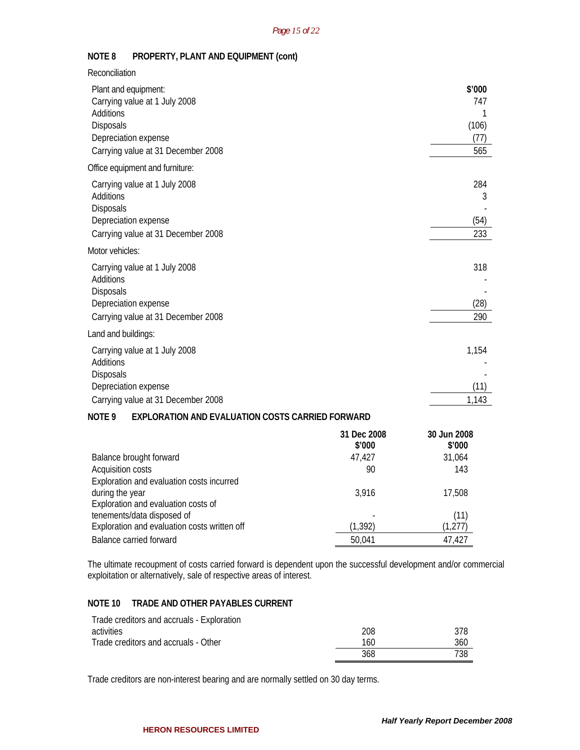# **NOTE 8 PROPERTY, PLANT AND EQUIPMENT (cont)**

| Reconciliation                                                                                                               |             |                    |
|------------------------------------------------------------------------------------------------------------------------------|-------------|--------------------|
| Plant and equipment:<br>Carrying value at 1 July 2008<br>Additions                                                           |             | \$'000<br>747      |
| <b>Disposals</b>                                                                                                             |             | (106)              |
| Depreciation expense                                                                                                         |             | (77)               |
| Carrying value at 31 December 2008                                                                                           |             | 565                |
| Office equipment and furniture:                                                                                              |             |                    |
| Carrying value at 1 July 2008<br>Additions<br>Disposals                                                                      |             | 284<br>3           |
| Depreciation expense                                                                                                         |             | (54)               |
| Carrying value at 31 December 2008                                                                                           |             | 233                |
| Motor vehicles:                                                                                                              |             |                    |
| Carrying value at 1 July 2008<br><b>Additions</b><br>Disposals<br>Depreciation expense<br>Carrying value at 31 December 2008 |             | 318<br>(28)<br>290 |
| Land and buildings:                                                                                                          |             |                    |
| Carrying value at 1 July 2008<br>Additions                                                                                   |             | 1,154              |
| <b>Disposals</b>                                                                                                             |             |                    |
| Depreciation expense                                                                                                         |             | (11)               |
| Carrying value at 31 December 2008                                                                                           |             | 1,143              |
| NOTE <sub>9</sub><br><b>EXPLORATION AND EVALUATION COSTS CARRIED FORWARD</b>                                                 |             |                    |
|                                                                                                                              | 31 Dec 2008 | 30 Jun 2008        |

|                                              | 31 Dec 2008<br>\$'000 | 30 Jun 2008<br>\$'000 |
|----------------------------------------------|-----------------------|-----------------------|
| Balance brought forward                      | 47.427                | 31,064                |
| Acquisition costs                            | 90                    | 143                   |
| Exploration and evaluation costs incurred    |                       |                       |
| during the year                              | 3,916                 | 17,508                |
| Exploration and evaluation costs of          |                       |                       |
| tenements/data disposed of                   |                       | (11)                  |
| Exploration and evaluation costs written off | (1, 392)              | (1, 277)              |
| <b>Balance carried forward</b>               | 50,041                | 47,427                |

The ultimate recoupment of costs carried forward is dependent upon the successful development and/or commercial exploitation or alternatively, sale of respective areas of interest.

## **NOTE 10 TRADE AND OTHER PAYABLES CURRENT**

| 208 | 378 |
|-----|-----|
| 160 | 360 |
| 368 | 738 |
|     |     |

Trade creditors are non-interest bearing and are normally settled on 30 day terms.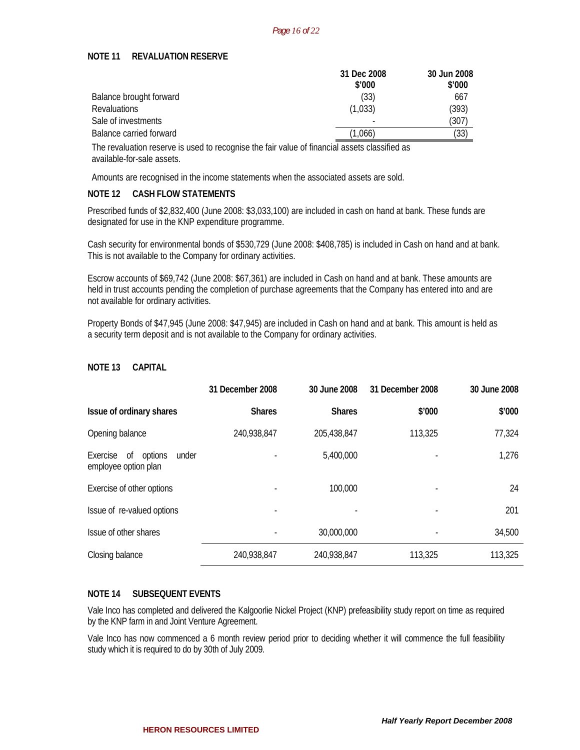#### *Page 16 of 22*

## **NOTE 11 REVALUATION RESERVE**

|                         | 31 Dec 2008 | 30 Jun 2008 |
|-------------------------|-------------|-------------|
|                         | \$'000      | \$'000      |
| Balance brought forward | (33)        | 667         |
| Revaluations            | (1,033)     | (393)       |
| Sale of investments     |             | (307)       |
| Balance carried forward | (1,066)     | 33)         |

The revaluation reserve is used to recognise the fair value of financial assets classified as available-for-sale assets.

Amounts are recognised in the income statements when the associated assets are sold.

## **NOTE 12 CASH FLOW STATEMENTS**

Prescribed funds of \$2,832,400 (June 2008: \$3,033,100) are included in cash on hand at bank. These funds are designated for use in the KNP expenditure programme.

Cash security for environmental bonds of \$530,729 (June 2008: \$408,785) is included in Cash on hand and at bank. This is not available to the Company for ordinary activities.

Escrow accounts of \$69,742 (June 2008: \$67,361) are included in Cash on hand and at bank. These amounts are held in trust accounts pending the completion of purchase agreements that the Company has entered into and are not available for ordinary activities.

Property Bonds of \$47,945 (June 2008: \$47,945) are included in Cash on hand and at bank. This amount is held as a security term deposit and is not available to the Company for ordinary activities.

## **NOTE 13 CAPITAL**

|                                                            | 31 December 2008         | 30 June 2008  | 31 December 2008 | 30 June 2008 |
|------------------------------------------------------------|--------------------------|---------------|------------------|--------------|
| Issue of ordinary shares                                   | <b>Shares</b>            | <b>Shares</b> | \$'000           | \$'000       |
| Opening balance                                            | 240,938,847              | 205,438,847   | 113,325          | 77,324       |
| Exercise<br>0f<br>options<br>under<br>employee option plan |                          | 5,400,000     |                  | 1,276        |
| Exercise of other options                                  | ٠                        | 100,000       |                  | 24           |
| Issue of re-valued options                                 | $\overline{\phantom{a}}$ |               |                  | 201          |
| Issue of other shares                                      |                          | 30,000,000    |                  | 34,500       |
| Closing balance                                            | 240,938,847              | 240,938,847   | 113,325          | 113,325      |

## **NOTE 14 SUBSEQUENT EVENTS**

Vale Inco has completed and delivered the Kalgoorlie Nickel Project (KNP) prefeasibility study report on time as required by the KNP farm in and Joint Venture Agreement.

Vale Inco has now commenced a 6 month review period prior to deciding whether it will commence the full feasibility study which it is required to do by 30th of July 2009.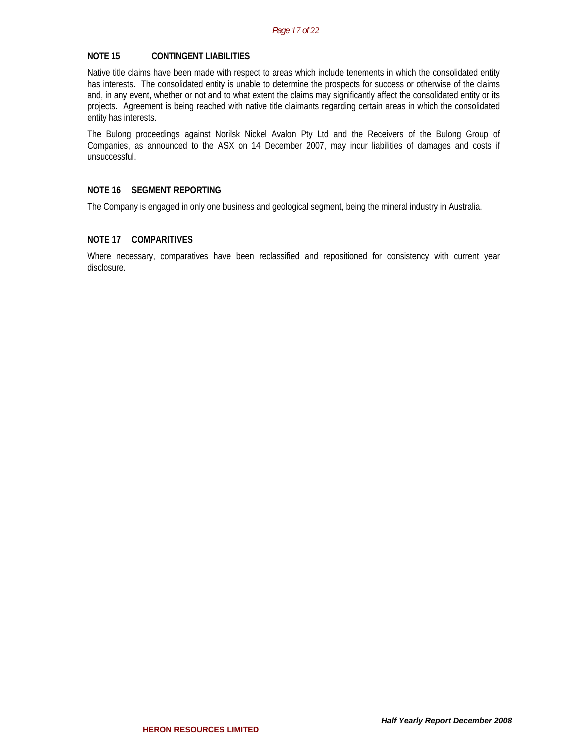#### **NOTE 15 CONTINGENT LIABILITIES**

Native title claims have been made with respect to areas which include tenements in which the consolidated entity has interests. The consolidated entity is unable to determine the prospects for success or otherwise of the claims and, in any event, whether or not and to what extent the claims may significantly affect the consolidated entity or its projects. Agreement is being reached with native title claimants regarding certain areas in which the consolidated entity has interests.

The Bulong proceedings against Norilsk Nickel Avalon Pty Ltd and the Receivers of the Bulong Group of Companies, as announced to the ASX on 14 December 2007, may incur liabilities of damages and costs if unsuccessful.

## **NOTE 16 SEGMENT REPORTING**

The Company is engaged in only one business and geological segment, being the mineral industry in Australia.

## **NOTE 17 COMPARITIVES**

Where necessary, comparatives have been reclassified and repositioned for consistency with current year disclosure.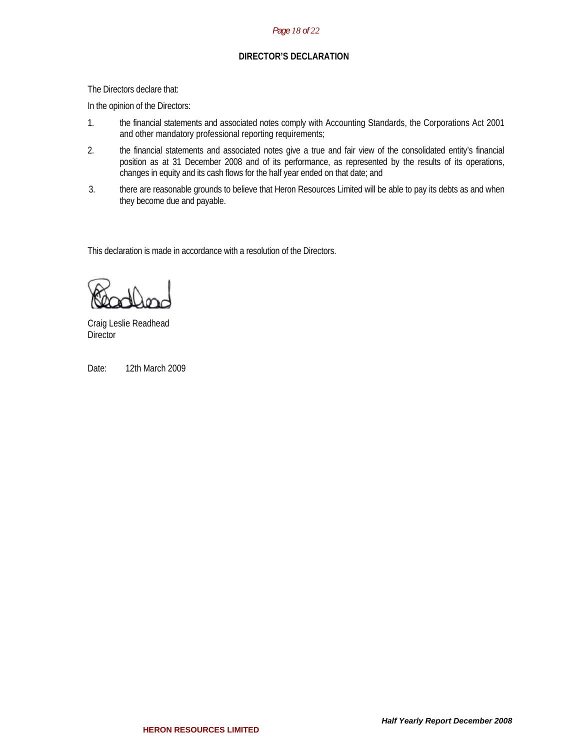#### *Page 18 of 22*

#### **DIRECTOR'S DECLARATION**

The Directors declare that:

In the opinion of the Directors:

- 1. the financial statements and associated notes comply with Accounting Standards, the Corporations Act 2001 and other mandatory professional reporting requirements;
- 2. the financial statements and associated notes give a true and fair view of the consolidated entity's financial position as at 31 December 2008 and of its performance, as represented by the results of its operations, changes in equity and its cash flows for the half year ended on that date; and
- 3. there are reasonable grounds to believe that Heron Resources Limited will be able to pay its debts as and when they become due and payable.

This declaration is made in accordance with a resolution of the Directors.

Craig Leslie Readhead **Director** 

Date: 12th March 2009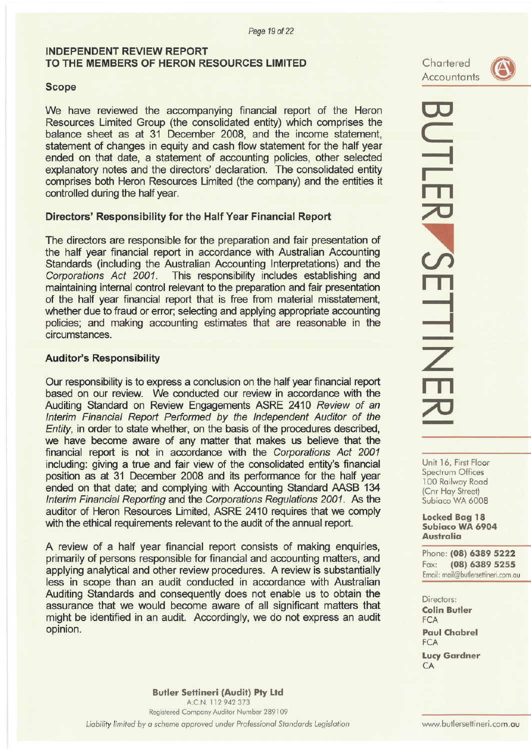# **INDEPENDENT REVIEW REPORT** TO THE MEMBERS OF HERON RESOURCES LIMITED

## **Scope**

We have reviewed the accompanying financial report of the Heron Resources Limited Group (the consolidated entity) which comprises the balance sheet as at 31 December 2008, and the income statement, statement of changes in equity and cash flow statement for the half year ended on that date, a statement of accounting policies, other selected explanatory notes and the directors' declaration. The consolidated entity comprises both Heron Resources Limited (the company) and the entities it controlled during the half year.

# Directors' Responsibility for the Half Year Financial Report

The directors are responsible for the preparation and fair presentation of the half year financial report in accordance with Australian Accounting Standards (including the Australian Accounting Interpretations) and the Corporations Act 2001. This responsibility includes establishing and maintaining internal control relevant to the preparation and fair presentation of the half year financial report that is free from material misstatement, whether due to fraud or error; selecting and applying appropriate accounting policies; and making accounting estimates that are reasonable in the circumstances.

## **Auditor's Responsibility**

Our responsibility is to express a conclusion on the half year financial report based on our review. We conducted our review in accordance with the Auditing Standard on Review Engagements ASRE 2410 Review of an Interim Financial Report Performed by the Independent Auditor of the Entity, in order to state whether, on the basis of the procedures described, we have become aware of any matter that makes us believe that the financial report is not in accordance with the Corporations Act 2001 including: giving a true and fair view of the consolidated entity's financial position as at 31 December 2008 and its performance for the half year ended on that date; and complying with Accounting Standard AASB 134 Interim Financial Reporting and the Corporations Regulations 2001. As the auditor of Heron Resources Limited, ASRE 2410 requires that we comply with the ethical requirements relevant to the audit of the annual report.

A review of a half year financial report consists of making enquiries, primarily of persons responsible for financial and accounting matters, and applying analytical and other review procedures. A review is substantially less in scope than an audit conducted in accordance with Australian Auditing Standards and consequently does not enable us to obtain the assurance that we would become aware of all significant matters that might be identified in an audit. Accordingly, we do not express an audit opinion.

Chartered **Accountants** 



BUTLER SETTINE

Unit 16, First Floor Spectrum Offices 100 Railway Road (Cnr Hay Street) Subiaco WA 6008

**Locked Bag 18** Subiaco WA 6904 **Australia** 

Phone: (08) 6389 5222 (08) 6389 5255  $Fax:$ Email: mail@butlersettineri.com.au

Directors: **Colin Butler FCA Paul Chabrel FCA Lucy Gardner** CA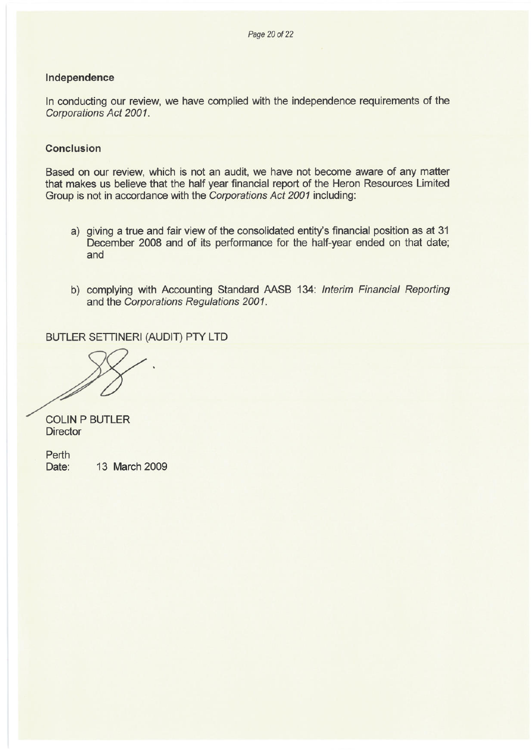# Independence

In conducting our review, we have complied with the independence requirements of the Corporations Act 2001.

## **Conclusion**

Based on our review, which is not an audit, we have not become aware of any matter that makes us believe that the half year financial report of the Heron Resources Limited Group is not in accordance with the Corporations Act 2001 including:

- a) giving a true and fair view of the consolidated entity's financial position as at 31 December 2008 and of its performance for the half-year ended on that date; and
- b) complying with Accounting Standard AASB 134: Interim Financial Reporting and the Corporations Regulations 2001.

BUTLER SETTINERI (AUDIT) PTY LTD

**COLIN P BUTLER Director** 

Perth 13 March 2009 Date: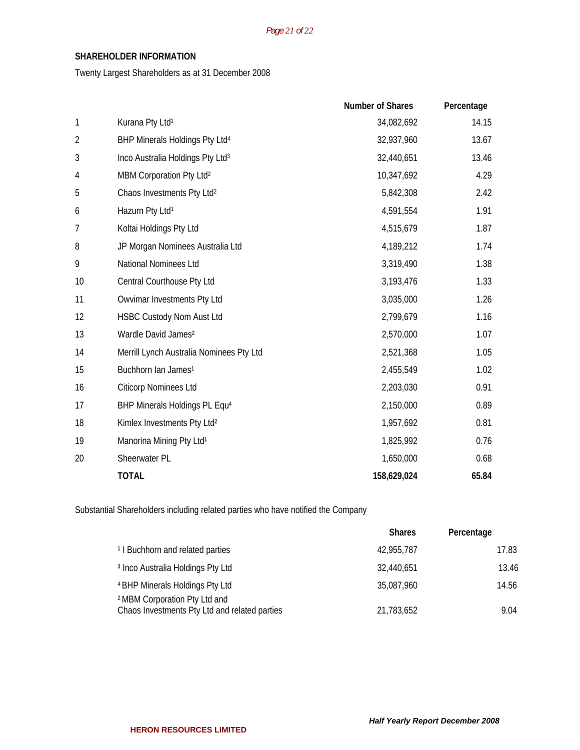## **SHAREHOLDER INFORMATION**

Twenty Largest Shareholders as at 31 December 2008

|            |                                              | <b>Number of Shares</b> | Percentage |
|------------|----------------------------------------------|-------------------------|------------|
| 1          | Kurana Pty Ltd <sup>1</sup>                  | 34,082,692              | 14.15      |
| $\sqrt{2}$ | BHP Minerals Holdings Pty Ltd <sup>4</sup>   | 32,937,960              | 13.67      |
| 3          | Inco Australia Holdings Pty Ltd <sup>3</sup> | 32,440,651              | 13.46      |
| 4          | MBM Corporation Pty Ltd <sup>2</sup>         | 10,347,692              | 4.29       |
| 5          | Chaos Investments Pty Ltd <sup>2</sup>       | 5,842,308               | 2.42       |
| 6          | Hazurn Pty Ltd <sup>1</sup>                  | 4,591,554               | 1.91       |
| 7          | Koltai Holdings Pty Ltd                      | 4,515,679               | 1.87       |
| 8          | JP Morgan Nominees Australia Ltd             | 4,189,212               | 1.74       |
| 9          | National Nominees Ltd                        | 3,319,490               | 1.38       |
| 10         | Central Courthouse Pty Ltd                   | 3,193,476               | 1.33       |
| 11         | Owvimar Investments Pty Ltd                  | 3,035,000               | 1.26       |
| 12         | <b>HSBC Custody Nom Aust Ltd</b>             | 2,799,679               | 1.16       |
| 13         | Wardle David James <sup>2</sup>              | 2,570,000               | 1.07       |
| 14         | Merrill Lynch Australia Nominees Pty Ltd     | 2,521,368               | 1.05       |
| 15         | Buchhorn Ian James <sup>1</sup>              | 2,455,549               | 1.02       |
| 16         | <b>Citicorp Nominees Ltd</b>                 | 2,203,030               | 0.91       |
| 17         | BHP Minerals Holdings PL Equ <sup>4</sup>    | 2,150,000               | 0.89       |
| 18         | Kimlex Investments Pty Ltd <sup>2</sup>      | 1,957,692               | 0.81       |
| 19         | Manorina Mining Pty Ltd <sup>1</sup>         | 1,825,992               | 0.76       |
| 20         | Sheerwater PL                                | 1,650,000               | 0.68       |
|            | <b>TOTAL</b>                                 | 158,629,024             | 65.84      |

Substantial Shareholders including related parties who have notified the Company

|                                               | <b>Shares</b> | Percentage |
|-----------------------------------------------|---------------|------------|
| <sup>1</sup> I Buchhorn and related parties   | 42,955,787    | 17.83      |
| <sup>3</sup> Inco Australia Holdings Pty Ltd  | 32,440,651    | 13.46      |
| <sup>4</sup> BHP Minerals Holdings Pty Ltd    | 35.087.960    | 14.56      |
| <sup>2</sup> MBM Corporation Pty Ltd and      |               |            |
| Chaos Investments Pty Ltd and related parties | 21,783,652    | 9.04       |